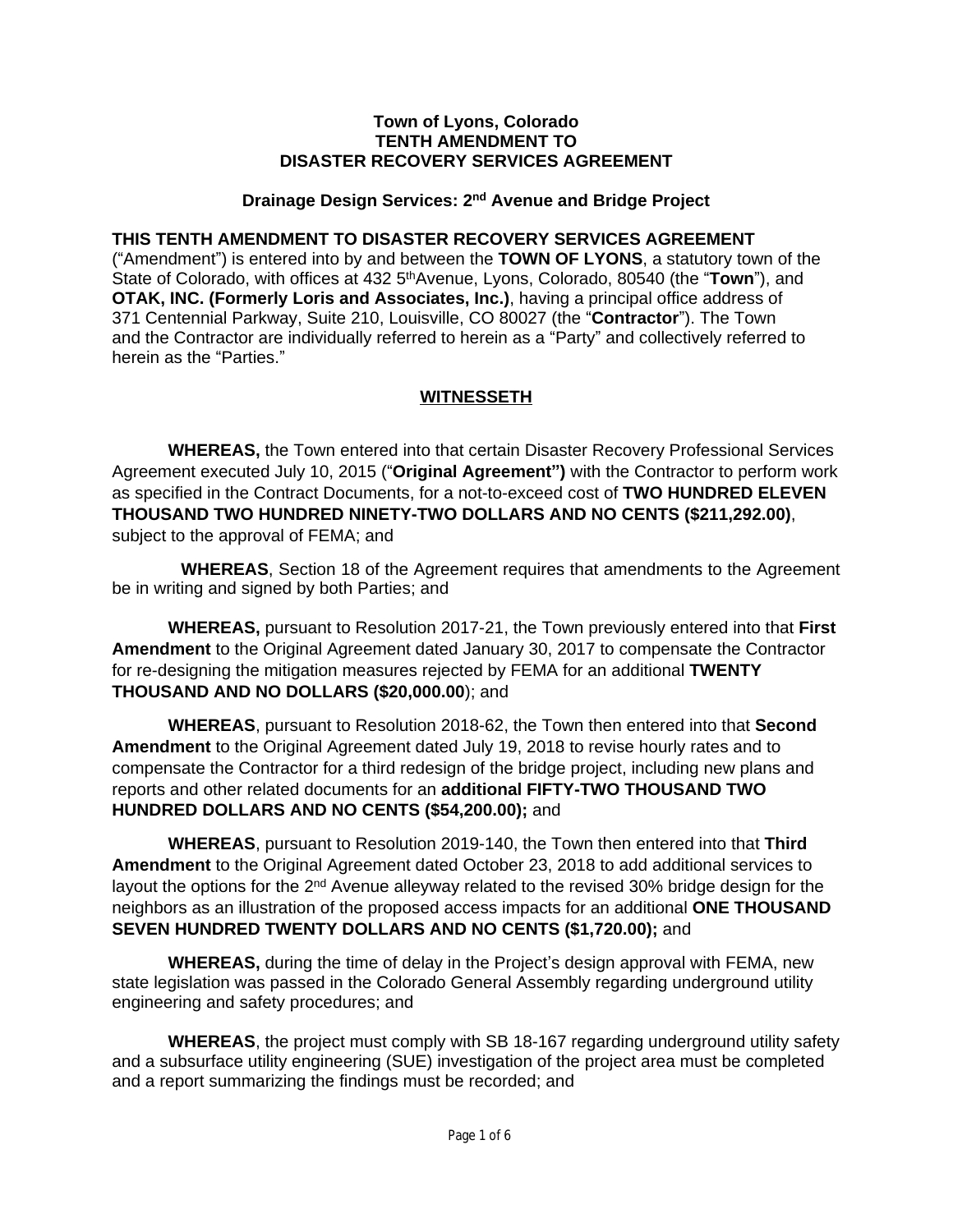#### **Town of Lyons, Colorado TENTH AMENDMENT TO DISASTER RECOVERY SERVICES AGREEMENT**

#### **Drainage Design Services: 2nd Avenue and Bridge Project**

#### **THIS TENTH AMENDMENT TO DISASTER RECOVERY SERVICES AGREEMENT**

("Amendment") is entered into by and between the **TOWN OF LYONS**, a statutory town of the State of Colorado, with offices at 432 5<sup>th</sup>Avenue, Lyons, Colorado, 80540 (the "**Town**"), and **OTAK, INC. (Formerly Loris and Associates, Inc.)**, having a principal office address of 371 Centennial Parkway, Suite 210, Louisville, CO 80027 (the "**Contractor**"). The Town and the Contractor are individually referred to herein as a "Party" and collectively referred to herein as the "Parties."

### **WITNESSETH**

**WHEREAS,** the Town entered into that certain Disaster Recovery Professional Services Agreement executed July 10, 2015 ("**Original Agreement")** with the Contractor to perform work as specified in the Contract Documents, for a not-to-exceed cost of **TWO HUNDRED ELEVEN THOUSAND TWO HUNDRED NINETY-TWO DOLLARS AND NO CENTS (\$211,292.00)**, subject to the approval of FEMA; and

**WHEREAS**, Section 18 of the Agreement requires that amendments to the Agreement be in writing and signed by both Parties; and

**WHEREAS,** pursuant to Resolution 2017-21, the Town previously entered into that **First Amendment** to the Original Agreement dated January 30, 2017 to compensate the Contractor for re-designing the mitigation measures rejected by FEMA for an additional **TWENTY THOUSAND AND NO DOLLARS (\$20,000.00**); and

**WHEREAS**, pursuant to Resolution 2018-62, the Town then entered into that **Second Amendment** to the Original Agreement dated July 19, 2018 to revise hourly rates and to compensate the Contractor for a third redesign of the bridge project, including new plans and reports and other related documents for an **additional FIFTY-TWO THOUSAND TWO HUNDRED DOLLARS AND NO CENTS (\$54,200.00);** and

**WHEREAS**, pursuant to Resolution 2019-140, the Town then entered into that **Third Amendment** to the Original Agreement dated October 23, 2018 to add additional services to layout the options for the 2<sup>nd</sup> Avenue alleyway related to the revised 30% bridge design for the neighbors as an illustration of the proposed access impacts for an additional **ONE THOUSAND SEVEN HUNDRED TWENTY DOLLARS AND NO CENTS (\$1,720.00);** and

**WHEREAS,** during the time of delay in the Project's design approval with FEMA, new state legislation was passed in the Colorado General Assembly regarding underground utility engineering and safety procedures; and

**WHEREAS**, the project must comply with SB 18-167 regarding underground utility safety and a subsurface utility engineering (SUE) investigation of the project area must be completed and a report summarizing the findings must be recorded; and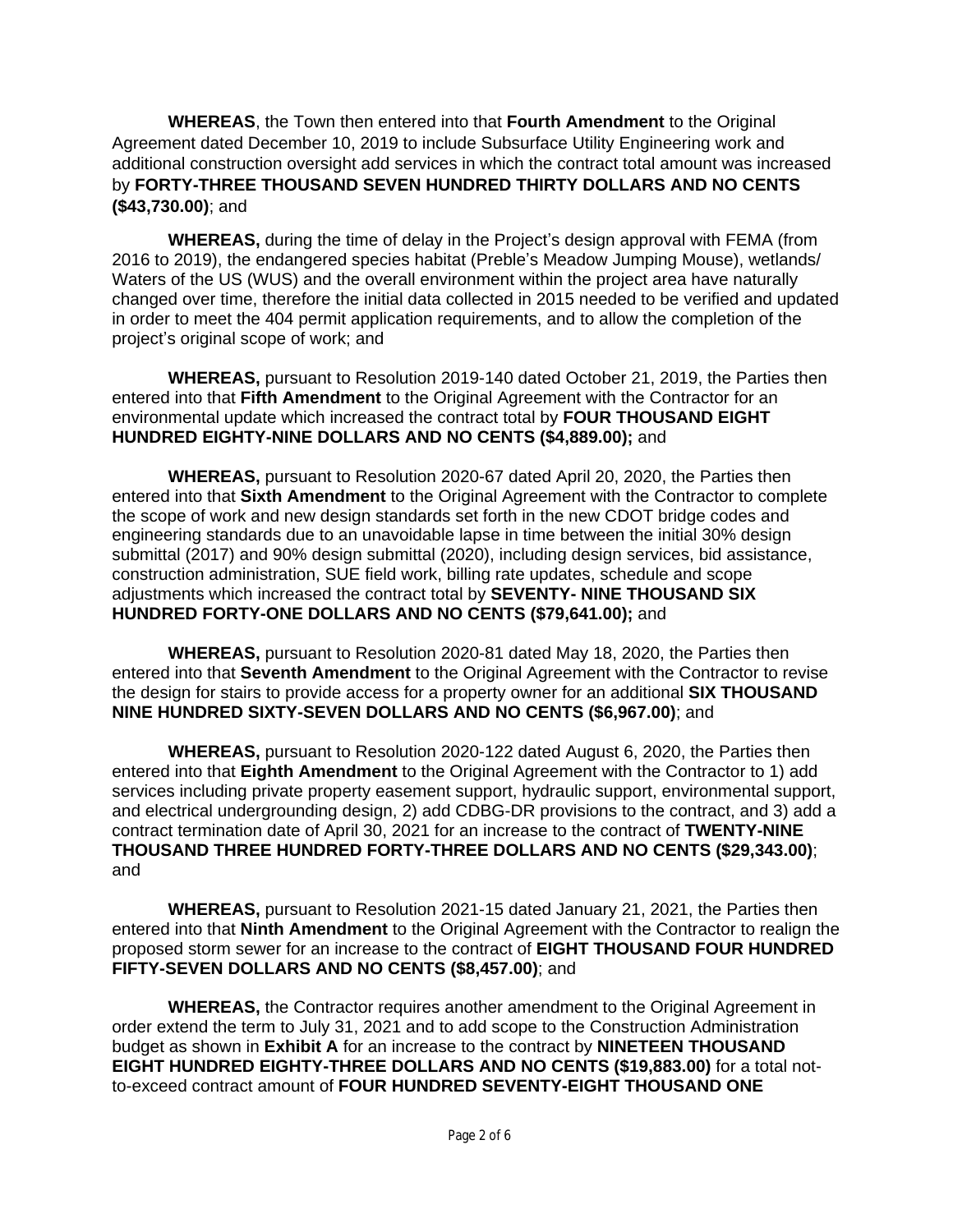**WHEREAS**, the Town then entered into that **Fourth Amendment** to the Original Agreement dated December 10, 2019 to include Subsurface Utility Engineering work and additional construction oversight add services in which the contract total amount was increased by **FORTY-THREE THOUSAND SEVEN HUNDRED THIRTY DOLLARS AND NO CENTS (\$43,730.00)**; and

**WHEREAS,** during the time of delay in the Project's design approval with FEMA (from 2016 to 2019), the endangered species habitat (Preble's Meadow Jumping Mouse), wetlands/ Waters of the US (WUS) and the overall environment within the project area have naturally changed over time, therefore the initial data collected in 2015 needed to be verified and updated in order to meet the 404 permit application requirements, and to allow the completion of the project's original scope of work; and

**WHEREAS,** pursuant to Resolution 2019-140 dated October 21, 2019, the Parties then entered into that **Fifth Amendment** to the Original Agreement with the Contractor for an environmental update which increased the contract total by **FOUR THOUSAND EIGHT HUNDRED EIGHTY-NINE DOLLARS AND NO CENTS (\$4,889.00);** and

**WHEREAS,** pursuant to Resolution 2020-67 dated April 20, 2020, the Parties then entered into that **Sixth Amendment** to the Original Agreement with the Contractor to complete the scope of work and new design standards set forth in the new CDOT bridge codes and engineering standards due to an unavoidable lapse in time between the initial 30% design submittal (2017) and 90% design submittal (2020), including design services, bid assistance, construction administration, SUE field work, billing rate updates, schedule and scope adjustments which increased the contract total by **SEVENTY- NINE THOUSAND SIX HUNDRED FORTY-ONE DOLLARS AND NO CENTS (\$79,641.00);** and

**WHEREAS,** pursuant to Resolution 2020-81 dated May 18, 2020, the Parties then entered into that **Seventh Amendment** to the Original Agreement with the Contractor to revise the design for stairs to provide access for a property owner for an additional **SIX THOUSAND NINE HUNDRED SIXTY-SEVEN DOLLARS AND NO CENTS (\$6,967.00)**; and

**WHEREAS,** pursuant to Resolution 2020-122 dated August 6, 2020, the Parties then entered into that **Eighth Amendment** to the Original Agreement with the Contractor to 1) add services including private property easement support, hydraulic support, environmental support, and electrical undergrounding design, 2) add CDBG-DR provisions to the contract, and 3) add a contract termination date of April 30, 2021 for an increase to the contract of **TWENTY-NINE THOUSAND THREE HUNDRED FORTY-THREE DOLLARS AND NO CENTS (\$29,343.00)**; and

**WHEREAS,** pursuant to Resolution 2021-15 dated January 21, 2021, the Parties then entered into that **Ninth Amendment** to the Original Agreement with the Contractor to realign the proposed storm sewer for an increase to the contract of **EIGHT THOUSAND FOUR HUNDRED FIFTY-SEVEN DOLLARS AND NO CENTS (\$8,457.00)**; and

**WHEREAS,** the Contractor requires another amendment to the Original Agreement in order extend the term to July 31, 2021 and to add scope to the Construction Administration budget as shown in **Exhibit A** for an increase to the contract by **NINETEEN THOUSAND EIGHT HUNDRED EIGHTY-THREE DOLLARS AND NO CENTS (\$19,883.00)** for a total notto-exceed contract amount of **FOUR HUNDRED SEVENTY-EIGHT THOUSAND ONE**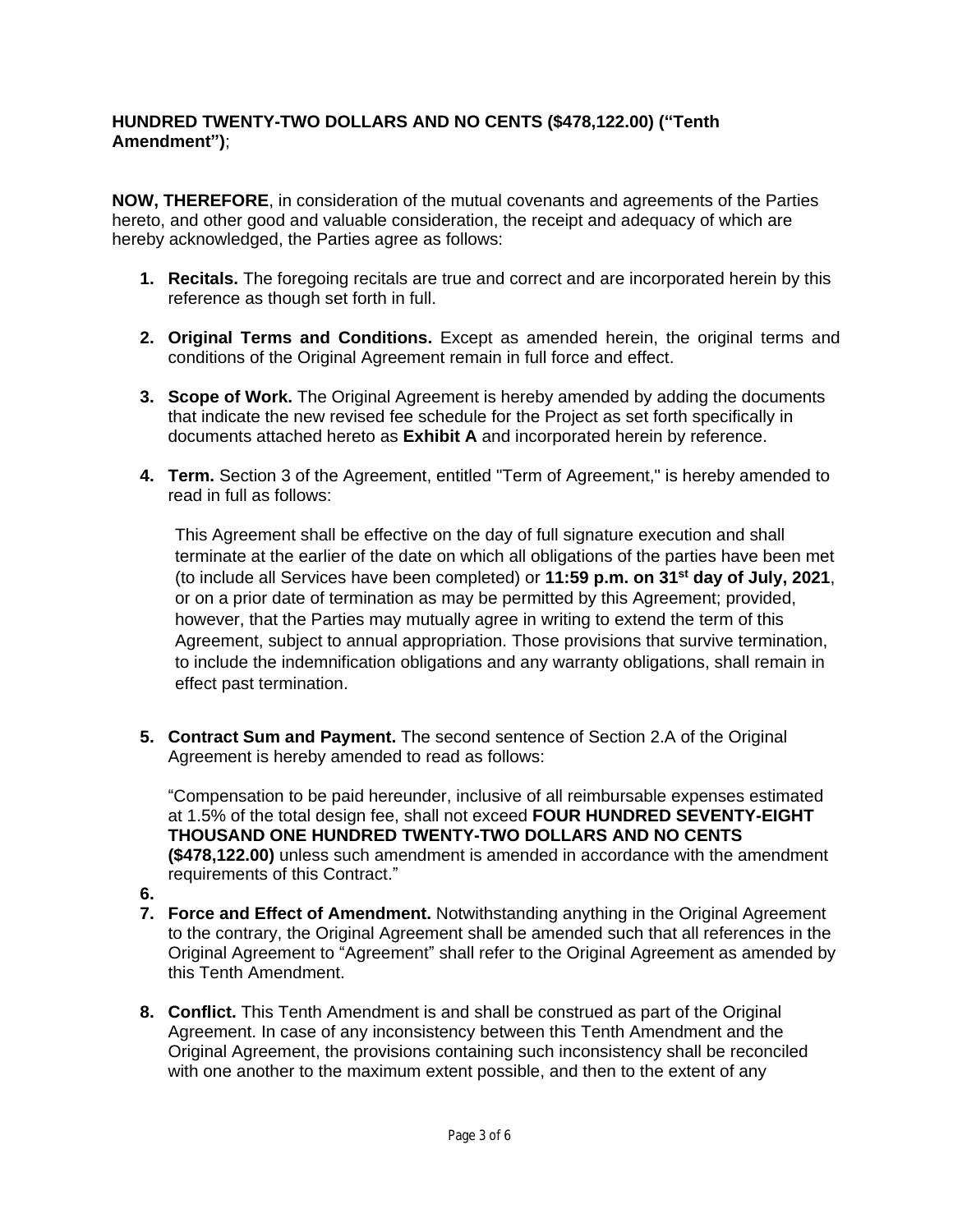#### **HUNDRED TWENTY-TWO DOLLARS AND NO CENTS (\$478,122.00) ("Tenth Amendment")**;

**NOW, THEREFORE**, in consideration of the mutual covenants and agreements of the Parties hereto, and other good and valuable consideration, the receipt and adequacy of which are hereby acknowledged, the Parties agree as follows:

- **1. Recitals.** The foregoing recitals are true and correct and are incorporated herein by this reference as though set forth in full.
- **2. Original Terms and Conditions.** Except as amended herein, the original terms and conditions of the Original Agreement remain in full force and effect.
- **3. Scope of Work.** The Original Agreement is hereby amended by adding the documents that indicate the new revised fee schedule for the Project as set forth specifically in documents attached hereto as **Exhibit A** and incorporated herein by reference.
- **4. Term.** Section 3 of the Agreement, entitled "Term of Agreement," is hereby amended to read in full as follows:

This Agreement shall be effective on the day of full signature execution and shall terminate at the earlier of the date on which all obligations of the parties have been met (to include all Services have been completed) or **11:59 p.m. on 31st day of July, 2021**, or on a prior date of termination as may be permitted by this Agreement; provided, however, that the Parties may mutually agree in writing to extend the term of this Agreement, subject to annual appropriation. Those provisions that survive termination, to include the indemnification obligations and any warranty obligations, shall remain in effect past termination.

**5. Contract Sum and Payment.** The second sentence of Section 2.A of the Original Agreement is hereby amended to read as follows:

"Compensation to be paid hereunder, inclusive of all reimbursable expenses estimated at 1.5% of the total design fee, shall not exceed **FOUR HUNDRED SEVENTY-EIGHT THOUSAND ONE HUNDRED TWENTY-TWO DOLLARS AND NO CENTS (\$478,122.00)** unless such amendment is amended in accordance with the amendment requirements of this Contract."

- **6.**
- **7. Force and Effect of Amendment.** Notwithstanding anything in the Original Agreement to the contrary, the Original Agreement shall be amended such that all references in the Original Agreement to "Agreement" shall refer to the Original Agreement as amended by this Tenth Amendment.
- **8. Conflict.** This Tenth Amendment is and shall be construed as part of the Original Agreement. In case of any inconsistency between this Tenth Amendment and the Original Agreement, the provisions containing such inconsistency shall be reconciled with one another to the maximum extent possible, and then to the extent of any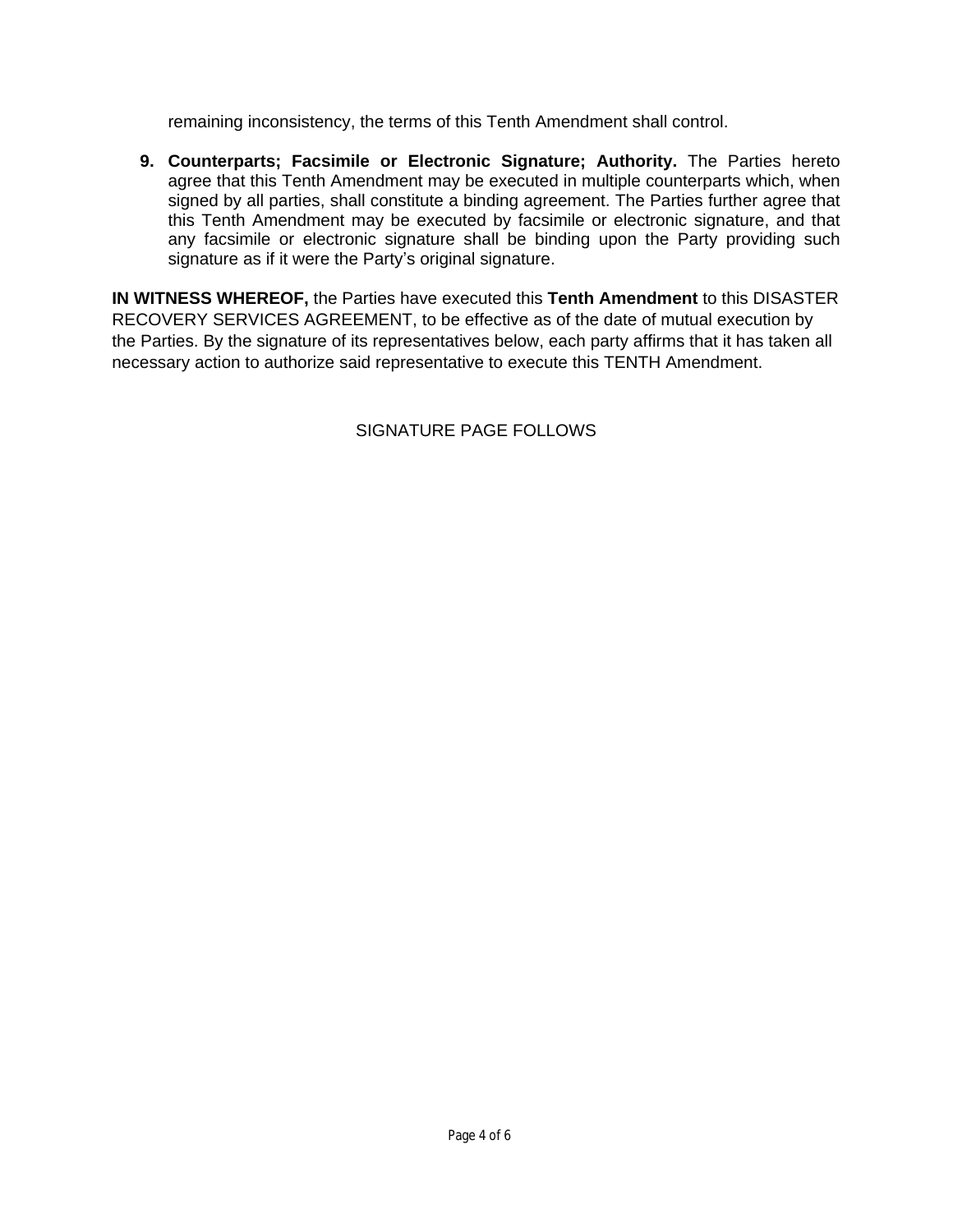remaining inconsistency, the terms of this Tenth Amendment shall control.

**9. Counterparts; Facsimile or Electronic Signature; Authority.** The Parties hereto agree that this Tenth Amendment may be executed in multiple counterparts which, when signed by all parties, shall constitute a binding agreement. The Parties further agree that this Tenth Amendment may be executed by facsimile or electronic signature, and that any facsimile or electronic signature shall be binding upon the Party providing such signature as if it were the Party's original signature.

**IN WITNESS WHEREOF,** the Parties have executed this **Tenth Amendment** to this DISASTER RECOVERY SERVICES AGREEMENT, to be effective as of the date of mutual execution by the Parties. By the signature of its representatives below, each party affirms that it has taken all necessary action to authorize said representative to execute this TENTH Amendment.

SIGNATURE PAGE FOLLOWS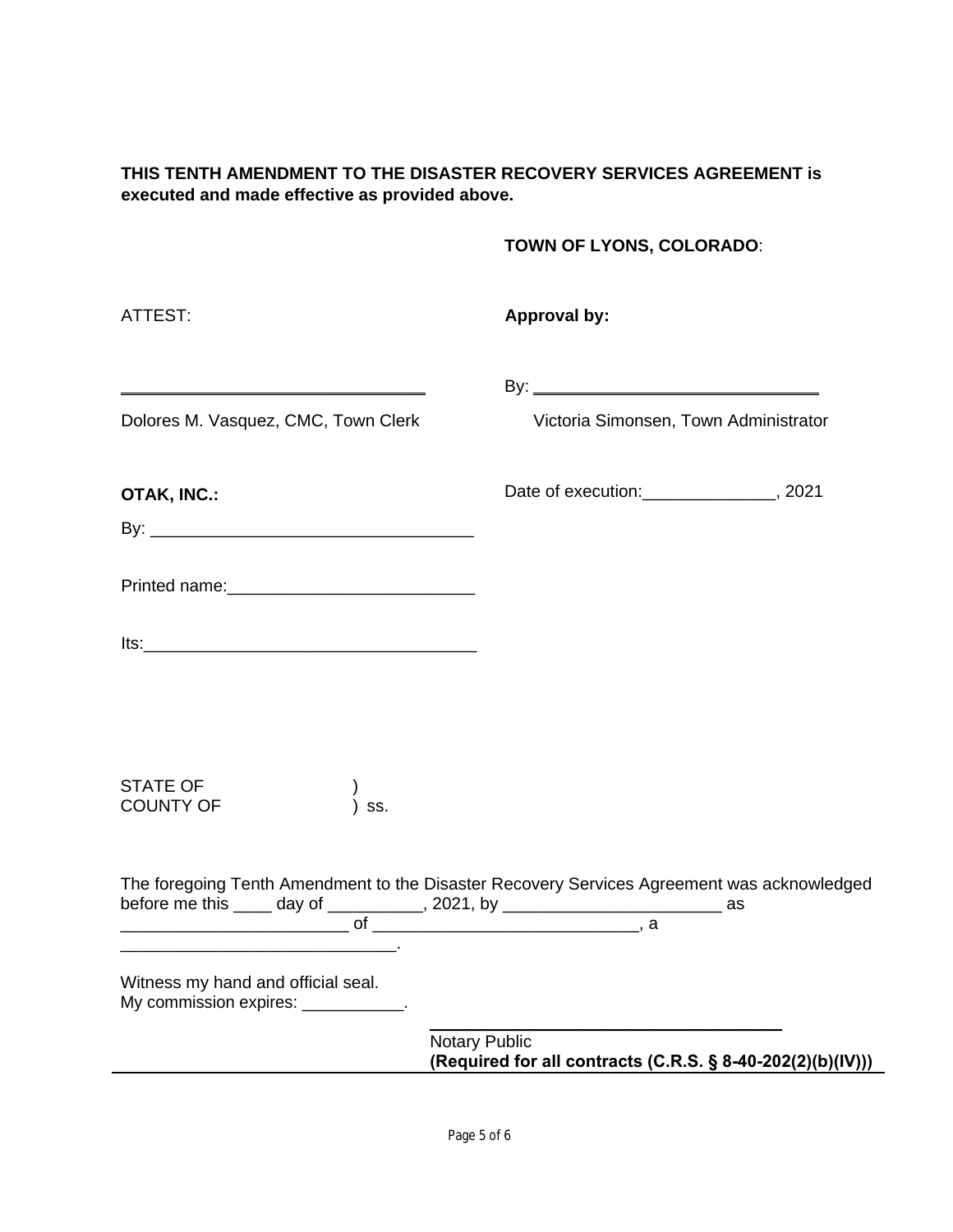### **THIS TENTH AMENDMENT TO THE DISASTER RECOVERY SERVICES AGREEMENT is executed and made effective as provided above.**

## **TOWN OF LYONS, COLORADO**:

| ATTEST:                                                                    | <b>Approval by:</b>                                                                                                                                                              |
|----------------------------------------------------------------------------|----------------------------------------------------------------------------------------------------------------------------------------------------------------------------------|
| Dolores M. Vasquez, CMC, Town Clerk                                        | Victoria Simonsen, Town Administrator                                                                                                                                            |
| OTAK, INC.:                                                                | Date of execution:________________, 2021                                                                                                                                         |
|                                                                            |                                                                                                                                                                                  |
|                                                                            |                                                                                                                                                                                  |
|                                                                            |                                                                                                                                                                                  |
| <b>STATE OF</b><br><b>COUNTY OF</b><br>SS.                                 |                                                                                                                                                                                  |
|                                                                            | The foregoing Tenth Amendment to the Disaster Recovery Services Agreement was acknowledged<br>before me this _____ day of ___________, 2021, by _____________________________ as |
| Witness my hand and official seal.<br>My commission expires: ____________. |                                                                                                                                                                                  |
|                                                                            | <b>Notary Public</b><br>(Required for all contracts (C.R.S. § 8-40-202(2)(b)(IV)))                                                                                               |